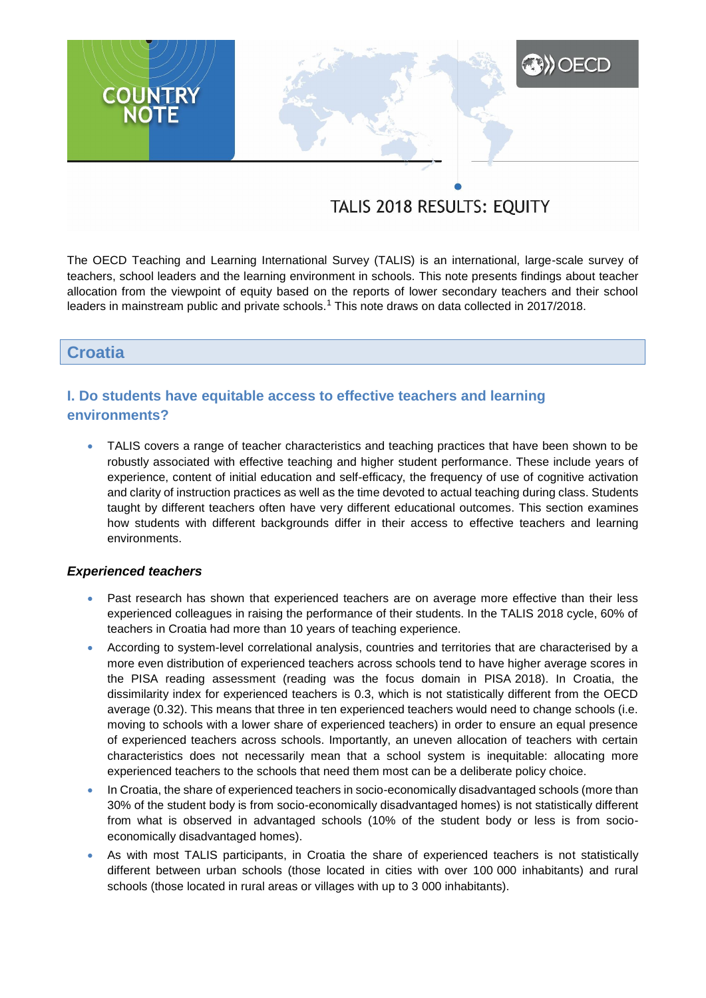# **A) OECD COUNTRY**<br>NOTE

# TALIS 2018 RESULTS: EQUITY

The OECD Teaching and Learning International Survey (TALIS) is an international, large-scale survey of teachers, school leaders and the learning environment in schools. This note presents findings about teacher allocation from the viewpoint of equity based on the reports of lower secondary teachers and their school leaders in mainstream public and private schools.<sup>1</sup> This note draws on data collected in 2017/2018.

### **Croatia**

# **I. Do students have equitable access to effective teachers and learning environments?**

 TALIS covers a range of teacher characteristics and teaching practices that have been shown to be robustly associated with effective teaching and higher student performance. These include years of experience, content of initial education and self-efficacy, the frequency of use of cognitive activation and clarity of instruction practices as well as the time devoted to actual teaching during class. Students taught by different teachers often have very different educational outcomes. This section examines how students with different backgrounds differ in their access to effective teachers and learning environments.

#### *Experienced teachers*

- Past research has shown that experienced teachers are on average more effective than their less experienced colleagues in raising the performance of their students. In the TALIS 2018 cycle, 60% of teachers in Croatia had more than 10 years of teaching experience.
- According to system-level correlational analysis, countries and territories that are characterised by a more even distribution of experienced teachers across schools tend to have higher average scores in the PISA reading assessment (reading was the focus domain in PISA 2018). In Croatia, the dissimilarity index for experienced teachers is 0.3, which is not statistically different from the OECD average (0.32). This means that three in ten experienced teachers would need to change schools (i.e. moving to schools with a lower share of experienced teachers) in order to ensure an equal presence of experienced teachers across schools. Importantly, an uneven allocation of teachers with certain characteristics does not necessarily mean that a school system is inequitable: allocating more experienced teachers to the schools that need them most can be a deliberate policy choice.
- In Croatia, the share of experienced teachers in socio-economically disadvantaged schools (more than 30% of the student body is from socio-economically disadvantaged homes) is not statistically different from what is observed in advantaged schools (10% of the student body or less is from socioeconomically disadvantaged homes).
- As with most TALIS participants, in Croatia the share of experienced teachers is not statistically different between urban schools (those located in cities with over 100 000 inhabitants) and rural schools (those located in rural areas or villages with up to 3 000 inhabitants).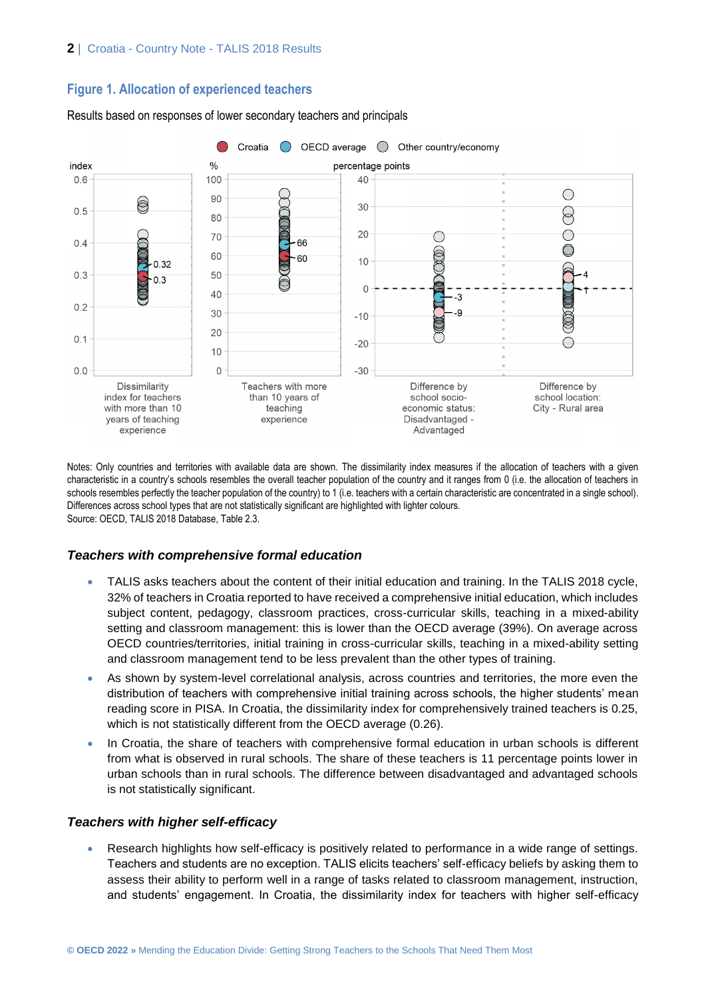# **Figure 1. Allocation of experienced teachers**



Results based on responses of lower secondary teachers and principals

Notes: Only countries and territories with available data are shown. The dissimilarity index measures if the allocation of teachers with a given characteristic in a country's schools resembles the overall teacher population of the country and it ranges from 0 (i.e. the allocation of teachers in schools resembles perfectly the teacher population of the country) to 1 (i.e. teachers with a certain characteristic are concentrated in a single school). Differences across school types that are not statistically significant are highlighted with lighter colours. Source: OECD, TALIS 2018 Database, Table 2.3.

#### *Teachers with comprehensive formal education*

- TALIS asks teachers about the content of their initial education and training. In the TALIS 2018 cycle, 32% of teachers in Croatia reported to have received a comprehensive initial education, which includes subject content, pedagogy, classroom practices, cross-curricular skills, teaching in a mixed-ability setting and classroom management: this is lower than the OECD average (39%). On average across OECD countries/territories, initial training in cross-curricular skills, teaching in a mixed-ability setting and classroom management tend to be less prevalent than the other types of training.
- As shown by system-level correlational analysis, across countries and territories, the more even the distribution of teachers with comprehensive initial training across schools, the higher students' mean reading score in PISA. In Croatia, the dissimilarity index for comprehensively trained teachers is 0.25, which is not statistically different from the OECD average (0.26).
- In Croatia, the share of teachers with comprehensive formal education in urban schools is different from what is observed in rural schools. The share of these teachers is 11 percentage points lower in urban schools than in rural schools. The difference between disadvantaged and advantaged schools is not statistically significant.

#### *Teachers with higher self-efficacy*

 Research highlights how self-efficacy is positively related to performance in a wide range of settings. Teachers and students are no exception. TALIS elicits teachers' self-efficacy beliefs by asking them to assess their ability to perform well in a range of tasks related to classroom management, instruction, and students' engagement. In Croatia, the dissimilarity index for teachers with higher self-efficacy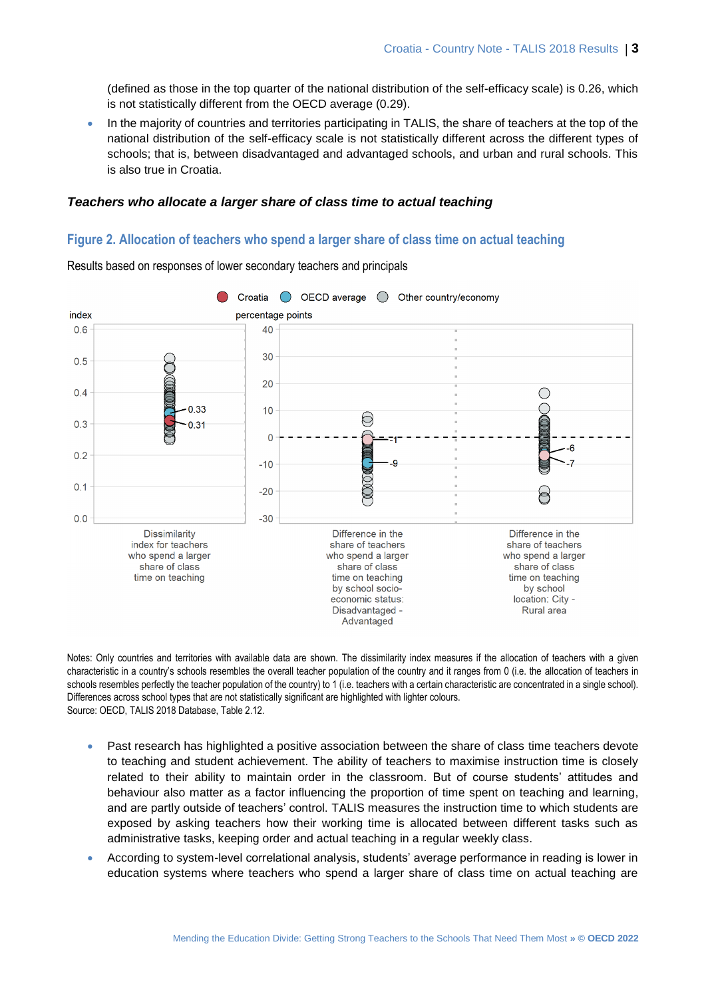(defined as those in the top quarter of the national distribution of the self-efficacy scale) is 0.26, which is not statistically different from the OECD average (0.29).

 In the majority of countries and territories participating in TALIS, the share of teachers at the top of the national distribution of the self-efficacy scale is not statistically different across the different types of schools; that is, between disadvantaged and advantaged schools, and urban and rural schools. This is also true in Croatia.

#### *Teachers who allocate a larger share of class time to actual teaching*

#### **Figure 2. Allocation of teachers who spend a larger share of class time on actual teaching**



Results based on responses of lower secondary teachers and principals

Notes: Only countries and territories with available data are shown. The dissimilarity index measures if the allocation of teachers with a given characteristic in a country's schools resembles the overall teacher population of the country and it ranges from 0 (i.e. the allocation of teachers in schools resembles perfectly the teacher population of the country) to 1 (i.e. teachers with a certain characteristic are concentrated in a single school). Differences across school types that are not statistically significant are highlighted with lighter colours. Source: OECD, TALIS 2018 Database, Table 2.12.

- Past research has highlighted a positive association between the share of class time teachers devote to teaching and student achievement. The ability of teachers to maximise instruction time is closely related to their ability to maintain order in the classroom. But of course students' attitudes and behaviour also matter as a factor influencing the proportion of time spent on teaching and learning, and are partly outside of teachers' control. TALIS measures the instruction time to which students are exposed by asking teachers how their working time is allocated between different tasks such as administrative tasks, keeping order and actual teaching in a regular weekly class.
- According to system-level correlational analysis, students' average performance in reading is lower in education systems where teachers who spend a larger share of class time on actual teaching are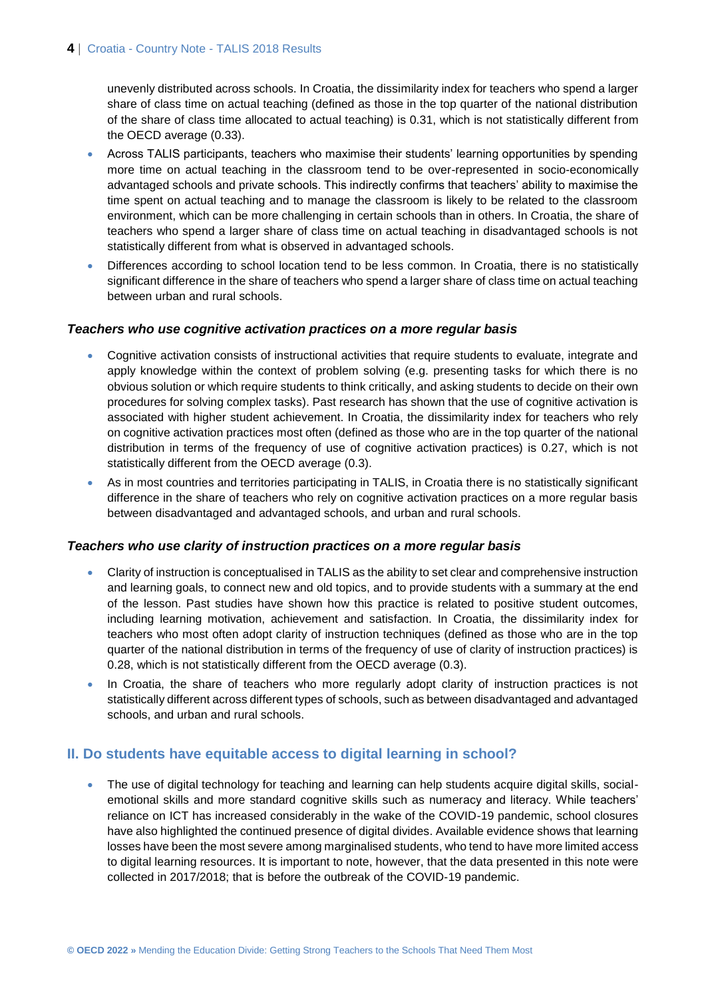unevenly distributed across schools. In Croatia, the dissimilarity index for teachers who spend a larger share of class time on actual teaching (defined as those in the top quarter of the national distribution of the share of class time allocated to actual teaching) is 0.31, which is not statistically different from the OECD average (0.33).

- Across TALIS participants, teachers who maximise their students' learning opportunities by spending more time on actual teaching in the classroom tend to be over-represented in socio-economically advantaged schools and private schools. This indirectly confirms that teachers' ability to maximise the time spent on actual teaching and to manage the classroom is likely to be related to the classroom environment, which can be more challenging in certain schools than in others. In Croatia, the share of teachers who spend a larger share of class time on actual teaching in disadvantaged schools is not statistically different from what is observed in advantaged schools.
- Differences according to school location tend to be less common. In Croatia, there is no statistically significant difference in the share of teachers who spend a larger share of class time on actual teaching between urban and rural schools.

#### *Teachers who use cognitive activation practices on a more regular basis*

- Cognitive activation consists of instructional activities that require students to evaluate, integrate and apply knowledge within the context of problem solving (e.g. presenting tasks for which there is no obvious solution or which require students to think critically, and asking students to decide on their own procedures for solving complex tasks). Past research has shown that the use of cognitive activation is associated with higher student achievement. In Croatia, the dissimilarity index for teachers who rely on cognitive activation practices most often (defined as those who are in the top quarter of the national distribution in terms of the frequency of use of cognitive activation practices) is 0.27, which is not statistically different from the OECD average (0.3).
- As in most countries and territories participating in TALIS, in Croatia there is no statistically significant difference in the share of teachers who rely on cognitive activation practices on a more regular basis between disadvantaged and advantaged schools, and urban and rural schools.

#### *Teachers who use clarity of instruction practices on a more regular basis*

- Clarity of instruction is conceptualised in TALIS as the ability to set clear and comprehensive instruction and learning goals, to connect new and old topics, and to provide students with a summary at the end of the lesson. Past studies have shown how this practice is related to positive student outcomes, including learning motivation, achievement and satisfaction. In Croatia, the dissimilarity index for teachers who most often adopt clarity of instruction techniques (defined as those who are in the top quarter of the national distribution in terms of the frequency of use of clarity of instruction practices) is 0.28, which is not statistically different from the OECD average (0.3).
- In Croatia, the share of teachers who more regularly adopt clarity of instruction practices is not statistically different across different types of schools, such as between disadvantaged and advantaged schools, and urban and rural schools.

#### **II. Do students have equitable access to digital learning in school?**

 The use of digital technology for teaching and learning can help students acquire digital skills, socialemotional skills and more standard cognitive skills such as numeracy and literacy. While teachers' reliance on ICT has increased considerably in the wake of the COVID-19 pandemic, school closures have also highlighted the continued presence of digital divides. Available evidence shows that learning losses have been the most severe among marginalised students, who tend to have more limited access to digital learning resources. It is important to note, however, that the data presented in this note were collected in 2017/2018; that is before the outbreak of the COVID-19 pandemic.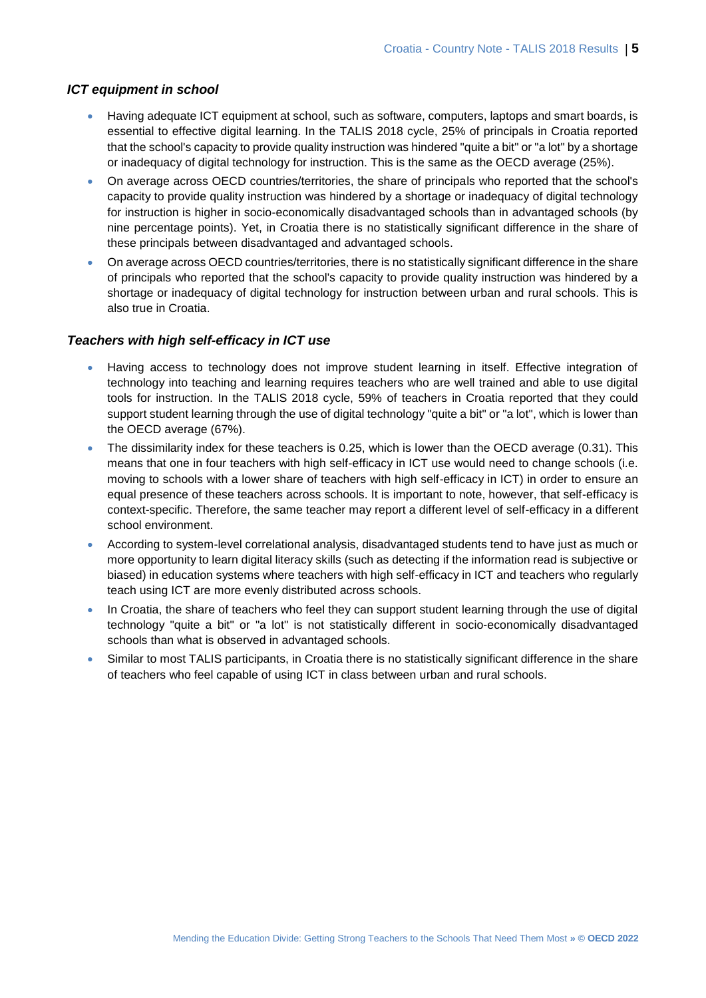#### *ICT equipment in school*

- Having adequate ICT equipment at school, such as software, computers, laptops and smart boards, is essential to effective digital learning. In the TALIS 2018 cycle, 25% of principals in Croatia reported that the school's capacity to provide quality instruction was hindered "quite a bit" or "a lot" by a shortage or inadequacy of digital technology for instruction. This is the same as the OECD average (25%).
- On average across OECD countries/territories, the share of principals who reported that the school's capacity to provide quality instruction was hindered by a shortage or inadequacy of digital technology for instruction is higher in socio-economically disadvantaged schools than in advantaged schools (by nine percentage points). Yet, in Croatia there is no statistically significant difference in the share of these principals between disadvantaged and advantaged schools.
- On average across OECD countries/territories, there is no statistically significant difference in the share of principals who reported that the school's capacity to provide quality instruction was hindered by a shortage or inadequacy of digital technology for instruction between urban and rural schools. This is also true in Croatia.

#### *Teachers with high self-efficacy in ICT use*

- Having access to technology does not improve student learning in itself. Effective integration of technology into teaching and learning requires teachers who are well trained and able to use digital tools for instruction. In the TALIS 2018 cycle, 59% of teachers in Croatia reported that they could support student learning through the use of digital technology "quite a bit" or "a lot", which is lower than the OECD average (67%).
- The dissimilarity index for these teachers is 0.25, which is lower than the OECD average (0.31). This means that one in four teachers with high self-efficacy in ICT use would need to change schools (i.e. moving to schools with a lower share of teachers with high self-efficacy in ICT) in order to ensure an equal presence of these teachers across schools. It is important to note, however, that self-efficacy is context-specific. Therefore, the same teacher may report a different level of self-efficacy in a different school environment.
- According to system-level correlational analysis, disadvantaged students tend to have just as much or more opportunity to learn digital literacy skills (such as detecting if the information read is subjective or biased) in education systems where teachers with high self-efficacy in ICT and teachers who regularly teach using ICT are more evenly distributed across schools.
- In Croatia, the share of teachers who feel they can support student learning through the use of digital technology "quite a bit" or "a lot" is not statistically different in socio-economically disadvantaged schools than what is observed in advantaged schools.
- Similar to most TALIS participants, in Croatia there is no statistically significant difference in the share of teachers who feel capable of using ICT in class between urban and rural schools.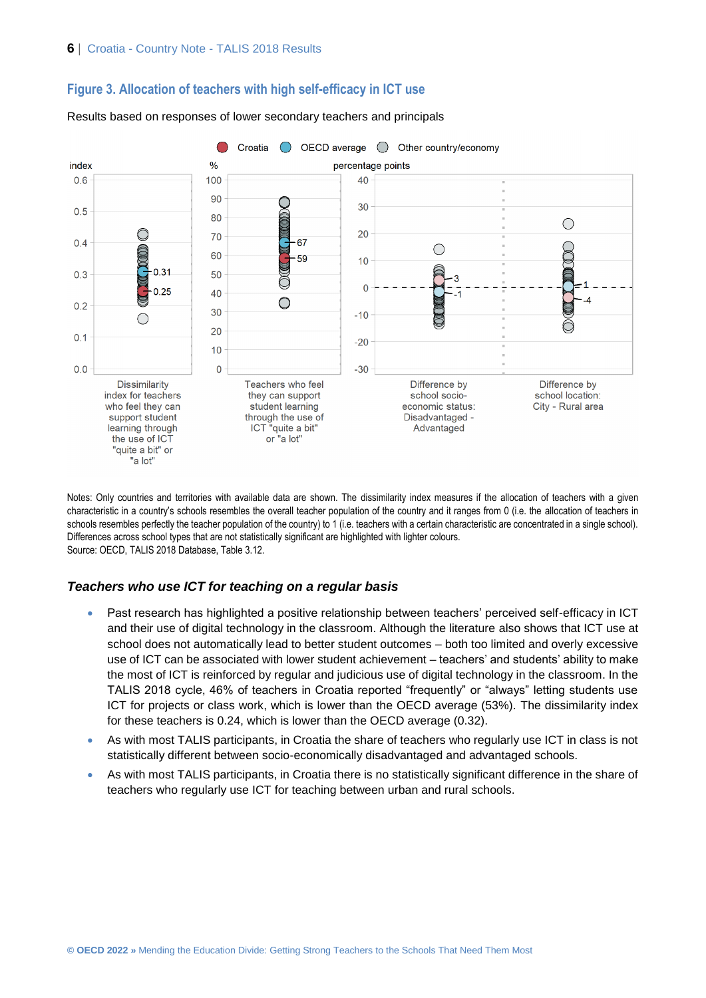



Results based on responses of lower secondary teachers and principals

Notes: Only countries and territories with available data are shown. The dissimilarity index measures if the allocation of teachers with a given characteristic in a country's schools resembles the overall teacher population of the country and it ranges from 0 (i.e. the allocation of teachers in schools resembles perfectly the teacher population of the country) to 1 (i.e. teachers with a certain characteristic are concentrated in a single school). Differences across school types that are not statistically significant are highlighted with lighter colours. Source: OECD, TALIS 2018 Database, Table 3.12.

#### *Teachers who use ICT for teaching on a regular basis*

- Past research has highlighted a positive relationship between teachers' perceived self-efficacy in ICT and their use of digital technology in the classroom. Although the literature also shows that ICT use at school does not automatically lead to better student outcomes – both too limited and overly excessive use of ICT can be associated with lower student achievement – teachers' and students' ability to make the most of ICT is reinforced by regular and judicious use of digital technology in the classroom. In the TALIS 2018 cycle, 46% of teachers in Croatia reported "frequently" or "always" letting students use ICT for projects or class work, which is lower than the OECD average (53%). The dissimilarity index for these teachers is 0.24, which is lower than the OECD average (0.32).
- As with most TALIS participants, in Croatia the share of teachers who regularly use ICT in class is not statistically different between socio-economically disadvantaged and advantaged schools.
- As with most TALIS participants, in Croatia there is no statistically significant difference in the share of teachers who regularly use ICT for teaching between urban and rural schools.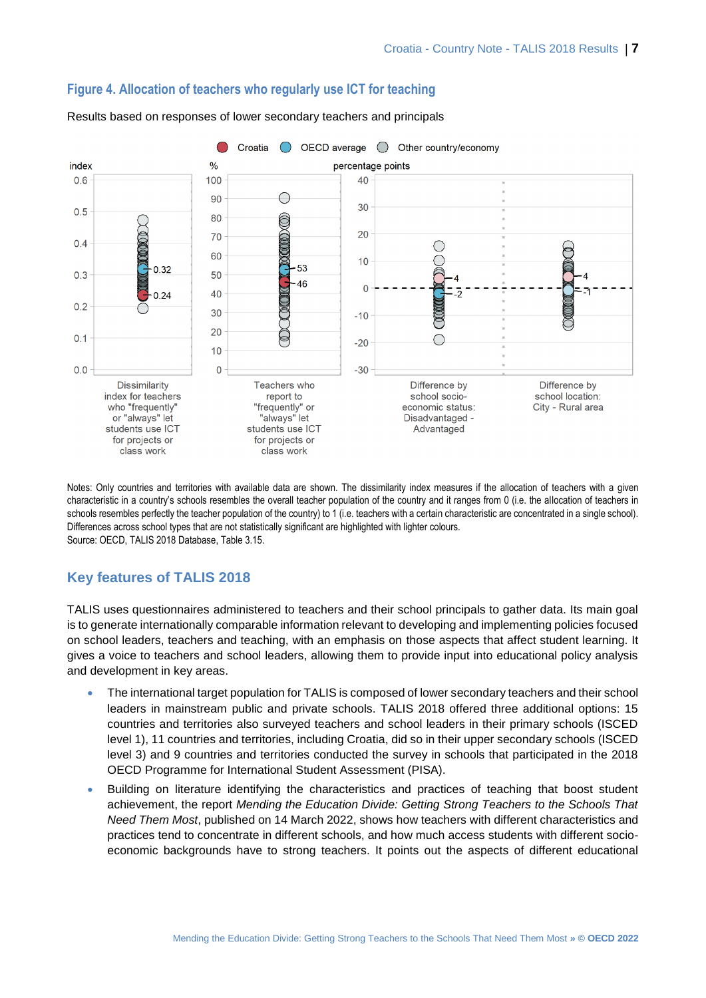

#### **Figure 4. Allocation of teachers who regularly use ICT for teaching**

index class work class work

Results based on responses of lower secondary teachers and principals

Notes: Only countries and territories with available data are shown. The dissimilarity index measures if the allocation of teachers with a given characteristic in a country's schools resembles the overall teacher population of the country and it ranges from 0 (i.e. the allocation of teachers in schools resembles perfectly the teacher population of the country) to 1 (i.e. teachers with a certain characteristic are concentrated in a single school). Differences across school types that are not statistically significant are highlighted with lighter colours. Source: OECD, TALIS 2018 Database, Table 3.15.

# **Key features of TALIS 2018**

TALIS uses questionnaires administered to teachers and their school principals to gather data. Its main goal is to generate internationally comparable information relevant to developing and implementing policies focused on school leaders, teachers and teaching, with an emphasis on those aspects that affect student learning. It gives a voice to teachers and school leaders, allowing them to provide input into educational policy analysis and development in key areas.

- The international target population for TALIS is composed of lower secondary teachers and their school leaders in mainstream public and private schools. TALIS 2018 offered three additional options: 15 countries and territories also surveyed teachers and school leaders in their primary schools (ISCED level 1), 11 countries and territories, including Croatia, did so in their upper secondary schools (ISCED level 3) and 9 countries and territories conducted the survey in schools that participated in the 2018 OECD Programme for International Student Assessment (PISA).
- Building on literature identifying the characteristics and practices of teaching that boost student achievement, the report *Mending the Education Divide: Getting Strong Teachers to the Schools That Need Them Most*, published on 14 March 2022, shows how teachers with different characteristics and practices tend to concentrate in different schools, and how much access students with different socioeconomic backgrounds have to strong teachers. It points out the aspects of different educational